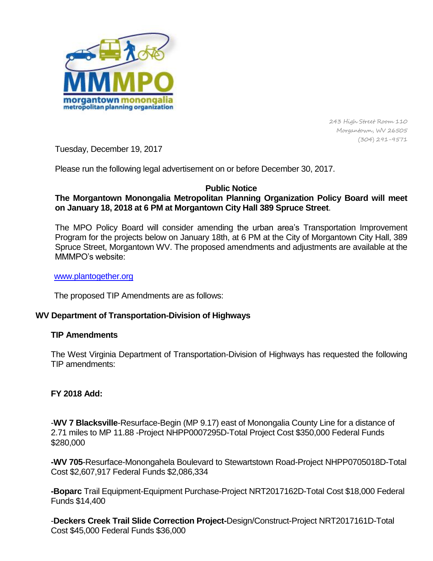

243 High Street Room 110 Morgantown, WV 26505 (304) 291-9571

Tuesday, December 19, 2017

Please run the following legal advertisement on or before December 30, 2017.

### **Public Notice**

# **The Morgantown Monongalia Metropolitan Planning Organization Policy Board will meet on January 18, 2018 at 6 PM at Morgantown City Hall 389 Spruce Street**.

The MPO Policy Board will consider amending the urban area's Transportation Improvement Program for the projects below on January 18th, at 6 PM at the City of Morgantown City Hall, 389 Spruce Street, Morgantown WV. The proposed amendments and adjustments are available at the MMMPO's website:

#### [www.plantogether.org](http://www.plantogether.org/)

The proposed TIP Amendments are as follows:

## **WV Department of Transportation-Division of Highways**

### **TIP Amendments**

The West Virginia Department of Transportation-Division of Highways has requested the following TIP amendments:

### **FY 2018 Add:**

-**WV 7 Blacksville**-Resurface-Begin (MP 9.17) east of Monongalia County Line for a distance of 2.71 miles to MP 11.88 -Project NHPP0007295D-Total Project Cost \$350,000 Federal Funds \$280,000

**-WV 705**-Resurface-Monongahela Boulevard to Stewartstown Road-Project NHPP0705018D-Total Cost \$2,607,917 Federal Funds \$2,086,334

**-Boparc** Trail Equipment-Equipment Purchase-Project NRT2017162D-Total Cost \$18,000 Federal Funds \$14,400

-**Deckers Creek Trail Slide Correction Project-**Design/Construct-Project NRT2017161D-Total Cost \$45,000 Federal Funds \$36,000